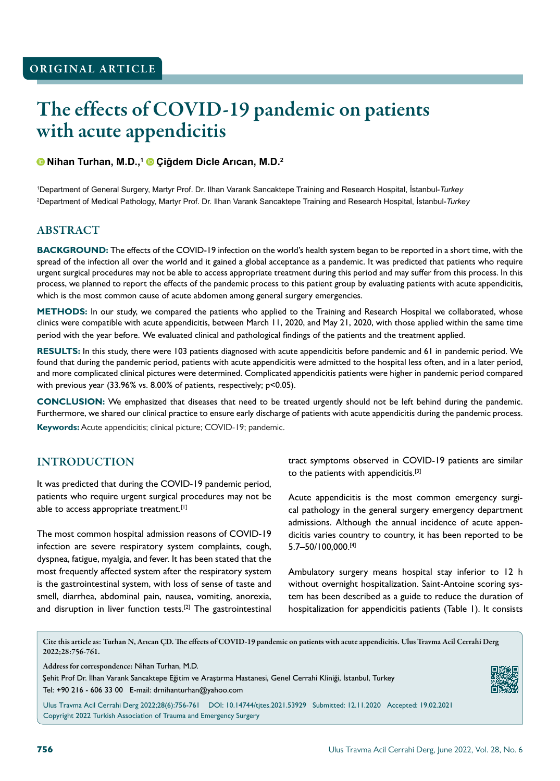# The effects of COVID-19 pandemic on patients with acute appendicitis

### **Nihan Turhan, M.D.,1 Çiğdem Dicle Arıcan, M.D.<sup>2</sup>**

1 Department of General Surgery, Martyr Prof. Dr. Ilhan Varank Sancaktepe Training and Research Hospital, İstanbul-*Turkey* 2 Department of Medical Pathology, Martyr Prof. Dr. Ilhan Varank Sancaktepe Training and Research Hospital, İstanbul-*Turkey*

## ABSTRACT

**BACKGROUND:** The effects of the COVID-19 infection on the world's health system began to be reported in a short time, with the spread of the infection all over the world and it gained a global acceptance as a pandemic. It was predicted that patients who require urgent surgical procedures may not be able to access appropriate treatment during this period and may suffer from this process. In this process, we planned to report the effects of the pandemic process to this patient group by evaluating patients with acute appendicitis, which is the most common cause of acute abdomen among general surgery emergencies.

**METHODS:** In our study, we compared the patients who applied to the Training and Research Hospital we collaborated, whose clinics were compatible with acute appendicitis, between March 11, 2020, and May 21, 2020, with those applied within the same time period with the year before. We evaluated clinical and pathological findings of the patients and the treatment applied.

**RESULTS:** In this study, there were 103 patients diagnosed with acute appendicitis before pandemic and 61 in pandemic period. We found that during the pandemic period, patients with acute appendicitis were admitted to the hospital less often, and in a later period, and more complicated clinical pictures were determined. Complicated appendicitis patients were higher in pandemic period compared with previous year (33.96% vs. 8.00% of patients, respectively; p<0.05).

**CONCLUSION:** We emphasized that diseases that need to be treated urgently should not be left behind during the pandemic. Furthermore, we shared our clinical practice to ensure early discharge of patients with acute appendicitis during the pandemic process. **Keywords:** Acute appendicitis; clinical picture; COVID-19; pandemic.

## INTRODUCTION

It was predicted that during the COVID-19 pandemic period, patients who require urgent surgical procedures may not be able to access appropriate treatment.<sup>[1]</sup>

The most common hospital admission reasons of COVID-19 infection are severe respiratory system complaints, cough, dyspnea, fatigue, myalgia, and fever. It has been stated that the most frequently affected system after the respiratory system is the gastrointestinal system, with loss of sense of taste and smell, diarrhea, abdominal pain, nausea, vomiting, anorexia, and disruption in liver function tests.<sup>[2]</sup> The gastrointestinal tract symptoms observed in COVID-19 patients are similar to the patients with appendicitis.<sup>[3]</sup>

Acute appendicitis is the most common emergency surgical pathology in the general surgery emergency department admissions. Although the annual incidence of acute appendicitis varies country to country, it has been reported to be 5.7–50/100,000.[4]

Ambulatory surgery means hospital stay inferior to 12 h without overnight hospitalization. Saint-Antoine scoring system has been described as a guide to reduce the duration of hospitalization for appendicitis patients (Table 1). It consists

Cite this article as: Turhan N, Arıcan ÇD. The effects of COVID-19 pandemic on patients with acute appendicitis. Ulus Travma Acil Cerrahi Derg 2022;28:756-761.

Address for correspondence: Nihan Turhan, M.D.

Şehit Prof Dr. İlhan Varank Sancaktepe Eğitim ve Araştırma Hastanesi, Genel Cerrahi Kliniği, İstanbul, Turkey Tel: +90 216 - 606 33 00 E-mail: drnihanturhan@yahoo.com

Ulus Travma Acil Cerrahi Derg 2022;28(6):756-761 DOI: 10.14744/tjtes.2021.53929 Submitted: 12.11.2020 Accepted: 19.02.2021 Copyright 2022 Turkish Association of Trauma and Emergency Surgery

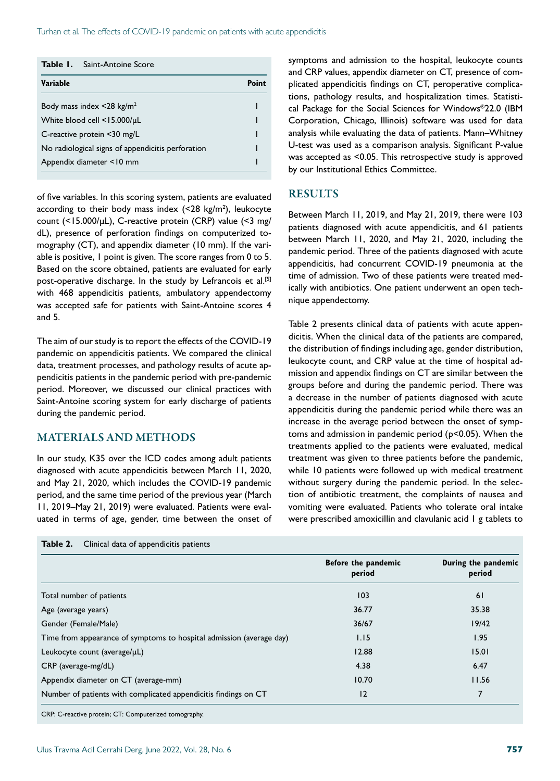| Point |
|-------|
|       |
|       |
|       |
|       |
|       |
|       |

of five variables. In this scoring system, patients are evaluated according to their body mass index  $\left($  <28 kg/m<sup>2</sup>), leukocyte count (<15.000/μL), C-reactive protein (CRP) value (<3 mg/ dL), presence of perforation findings on computerized tomography (CT), and appendix diameter (10 mm). If the variable is positive, 1 point is given. The score ranges from 0 to 5. Based on the score obtained, patients are evaluated for early post-operative discharge. In the study by Lefrancois et al.<sup>[5]</sup> with 468 appendicitis patients, ambulatory appendectomy was accepted safe for patients with Saint-Antoine scores 4 and 5.

The aim of our study is to report the effects of the COVID-19 pandemic on appendicitis patients. We compared the clinical data, treatment processes, and pathology results of acute appendicitis patients in the pandemic period with pre-pandemic period. Moreover, we discussed our clinical practices with Saint-Antoine scoring system for early discharge of patients during the pandemic period.

## MATERIALS AND METHODS

In our study, K35 over the ICD codes among adult patients diagnosed with acute appendicitis between March 11, 2020, and May 21, 2020, which includes the COVID-19 pandemic period, and the same time period of the previous year (March 11, 2019–May 21, 2019) were evaluated. Patients were evaluated in terms of age, gender, time between the onset of symptoms and admission to the hospital, leukocyte counts and CRP values, appendix diameter on CT, presence of complicated appendicitis findings on CT, peroperative complications, pathology results, and hospitalization times. Statistical Package for the Social Sciences for Windows®22.0 (IBM Corporation, Chicago, Illinois) software was used for data analysis while evaluating the data of patients. Mann–Whitney U-test was used as a comparison analysis. Significant P-value was accepted as <0.05. This retrospective study is approved by our Institutional Ethics Committee.

#### **RESULTS**

Between March 11, 2019, and May 21, 2019, there were 103 patients diagnosed with acute appendicitis, and 61 patients between March 11, 2020, and May 21, 2020, including the pandemic period. Three of the patients diagnosed with acute appendicitis, had concurrent COVID-19 pneumonia at the time of admission. Two of these patients were treated medically with antibiotics. One patient underwent an open technique appendectomy.

Table 2 presents clinical data of patients with acute appendicitis. When the clinical data of the patients are compared, the distribution of findings including age, gender distribution, leukocyte count, and CRP value at the time of hospital admission and appendix findings on CT are similar between the groups before and during the pandemic period. There was a decrease in the number of patients diagnosed with acute appendicitis during the pandemic period while there was an increase in the average period between the onset of symptoms and admission in pandemic period (p<0.05). When the treatments applied to the patients were evaluated, medical treatment was given to three patients before the pandemic, while 10 patients were followed up with medical treatment without surgery during the pandemic period. In the selection of antibiotic treatment, the complaints of nausea and vomiting were evaluated. Patients who tolerate oral intake were prescribed amoxicillin and clavulanic acid 1 g tablets to

| Table 2. | Clinical data of appendicitis patients |  |
|----------|----------------------------------------|--|
|----------|----------------------------------------|--|

|                                                                      | Before the pandemic<br>period | During the pandemic<br>period |
|----------------------------------------------------------------------|-------------------------------|-------------------------------|
| Total number of patients                                             | 103                           | 61                            |
| Age (average years)                                                  | 36.77                         | 35.38                         |
| Gender (Female/Male)                                                 | 36/67                         | 19/42                         |
| Time from appearance of symptoms to hospital admission (average day) | 1.15                          | 1.95                          |
| Leukocyte count (average/µL)                                         | 12.88                         | 15.01                         |
| $CRP$ (average-mg/dL)                                                | 4.38                          | 6.47                          |
| Appendix diameter on CT (average-mm)                                 | 10.70                         | 11.56                         |
| Number of patients with complicated appendicitis findings on CT      | 12                            | 7                             |

CRP: C-reactive protein; CT: Computerized tomography.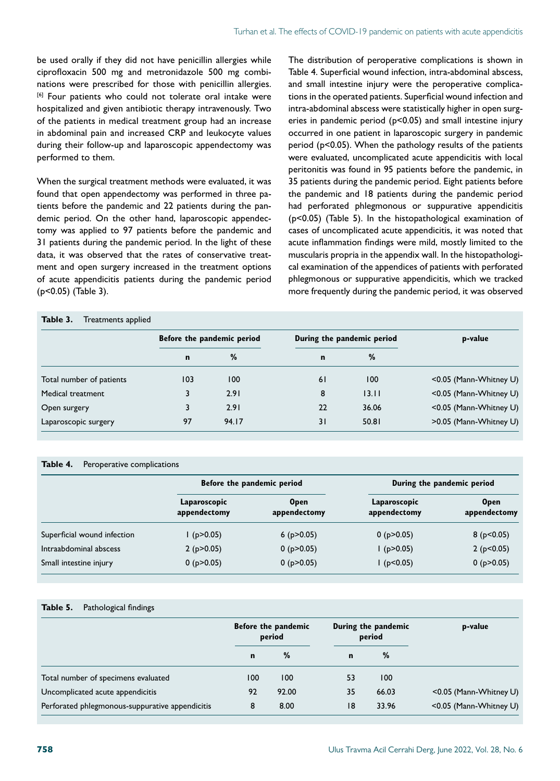be used orally if they did not have penicillin allergies while ciprofloxacin 500 mg and metronidazole 500 mg combinations were prescribed for those with penicillin allergies. [6] Four patients who could not tolerate oral intake were hospitalized and given antibiotic therapy intravenously. Two of the patients in medical treatment group had an increase in abdominal pain and increased CRP and leukocyte values during their follow-up and laparoscopic appendectomy was performed to them.

When the surgical treatment methods were evaluated, it was found that open appendectomy was performed in three patients before the pandemic and 22 patients during the pandemic period. On the other hand, laparoscopic appendectomy was applied to 97 patients before the pandemic and 31 patients during the pandemic period. In the light of these data, it was observed that the rates of conservative treatment and open surgery increased in the treatment options of acute appendicitis patients during the pandemic period (p<0.05) (Table 3).

The distribution of peroperative complications is shown in Table 4. Superficial wound infection, intra-abdominal abscess, and small intestine injury were the peroperative complications in the operated patients. Superficial wound infection and intra-abdominal abscess were statistically higher in open surgeries in pandemic period (p<0.05) and small intestine injury occurred in one patient in laparoscopic surgery in pandemic period (p<0.05). When the pathology results of the patients were evaluated, uncomplicated acute appendicitis with local peritonitis was found in 95 patients before the pandemic, in 35 patients during the pandemic period. Eight patients before the pandemic and 18 patients during the pandemic period had perforated phlegmonous or suppurative appendicitis (p<0.05) (Table 5). In the histopathological examination of cases of uncomplicated acute appendicitis, it was noted that acute inflammation findings were mild, mostly limited to the muscularis propria in the appendix wall. In the histopathological examination of the appendices of patients with perforated phlegmonous or suppurative appendicitis, which we tracked more frequently during the pandemic period, it was observed

## **Table 3.** Treatments applied

|                          |             | Before the pandemic period |    | During the pandemic period | p-value                |
|--------------------------|-------------|----------------------------|----|----------------------------|------------------------|
|                          | $\mathbf n$ | %                          | n  | %                          |                        |
| Total number of patients | 103         | 100                        | 61 | 100                        | <0.05 (Mann-Whitney U) |
| Medical treatment        | 3           | 2.91                       | 8  | 13.11                      | <0.05 (Mann-Whitney U) |
| Open surgery             |             | 2.91                       | 22 | 36.06                      | <0.05 (Mann-Whitney U) |
| Laparoscopic surgery     | 97          | 94.17                      | 31 | 50.81                      | >0.05 (Mann-Whitney U) |

#### **Table 4.** Peroperative complications

|                             |                              | Before the pandemic period  | During the pandemic period   |                             |  |
|-----------------------------|------------------------------|-----------------------------|------------------------------|-----------------------------|--|
|                             | Laparoscopic<br>appendectomy | <b>Open</b><br>appendectomy | Laparoscopic<br>appendectomy | <b>Open</b><br>appendectomy |  |
| Superficial wound infection | l (p>0.05)                   | 6 ( $p > 0.05$ )            | $0$ (p $>0.05$ )             | 8(p<0.05)                   |  |
| Intraabdominal abscess      | 2(p>0.05)                    | $0$ ( $p > 0.05$ )          | 1(p > 0.05)                  | 2(p<0.05)                   |  |
| Small intestine injury      | $0$ ( $p > 0.05$ )           | $0$ ( $p > 0.05$ )          | (p<0.05)                     | 0 $(p > 0.05)$              |  |

#### **Table 5.** Pathological findings

|                                                 | Before the pandemic<br>period |       | During the pandemic<br>period |       | p-value                |
|-------------------------------------------------|-------------------------------|-------|-------------------------------|-------|------------------------|
|                                                 | $\mathbf n$                   | %     | $\mathbf n$                   | %     |                        |
| Total number of specimens evaluated             | 100                           | 100   | 53                            | 100   |                        |
| Uncomplicated acute appendicitis                | 92                            | 92.00 | 35                            | 66.03 | <0.05 (Mann-Whitney U) |
| Perforated phlegmonous-suppurative appendicitis | 8                             | 8.00  | 18                            | 33.96 | <0.05 (Mann-Whitney U) |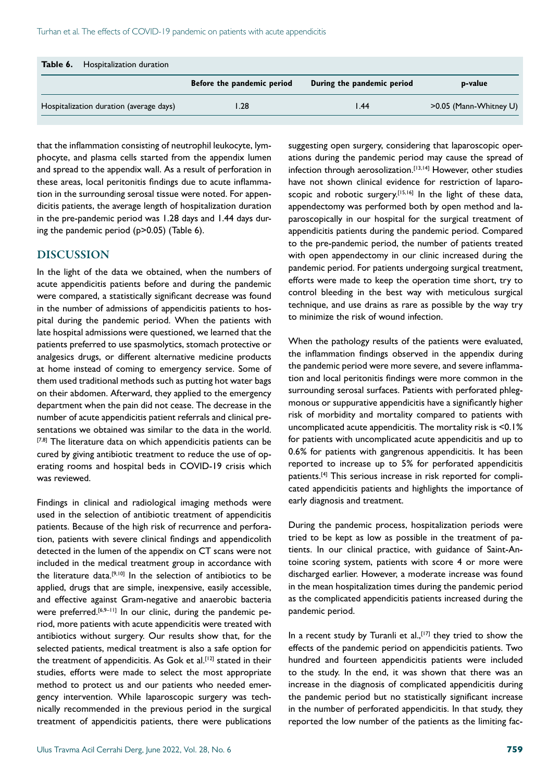| Hospitalization duration<br>Table 6.    |                            |                            |                        |
|-----------------------------------------|----------------------------|----------------------------|------------------------|
|                                         | Before the pandemic period | During the pandemic period | p-value                |
| Hospitalization duration (average days) | $\overline{28}$            | l.44                       | >0.05 (Mann-Whitney U) |

that the inflammation consisting of neutrophil leukocyte, lymphocyte, and plasma cells started from the appendix lumen and spread to the appendix wall. As a result of perforation in these areas, local peritonitis findings due to acute inflammation in the surrounding serosal tissue were noted. For appendicitis patients, the average length of hospitalization duration in the pre-pandemic period was 1.28 days and 1.44 days during the pandemic period (p>0.05) (Table 6).

#### DISCUSSION

In the light of the data we obtained, when the numbers of acute appendicitis patients before and during the pandemic were compared, a statistically significant decrease was found in the number of admissions of appendicitis patients to hospital during the pandemic period. When the patients with late hospital admissions were questioned, we learned that the patients preferred to use spasmolytics, stomach protective or analgesics drugs, or different alternative medicine products at home instead of coming to emergency service. Some of them used traditional methods such as putting hot water bags on their abdomen. Afterward, they applied to the emergency department when the pain did not cease. The decrease in the number of acute appendicitis patient referrals and clinical presentations we obtained was similar to the data in the world. [7,8] The literature data on which appendicitis patients can be cured by giving antibiotic treatment to reduce the use of operating rooms and hospital beds in COVID-19 crisis which was reviewed.

Findings in clinical and radiological imaging methods were used in the selection of antibiotic treatment of appendicitis patients. Because of the high risk of recurrence and perforation, patients with severe clinical findings and appendicolith detected in the lumen of the appendix on CT scans were not included in the medical treatment group in accordance with the literature data.[9,10] In the selection of antibiotics to be applied, drugs that are simple, inexpensive, easily accessible, and effective against Gram-negative and anaerobic bacteria were preferred.<sup>[6,9-11]</sup> In our clinic, during the pandemic period, more patients with acute appendicitis were treated with antibiotics without surgery. Our results show that, for the selected patients, medical treatment is also a safe option for the treatment of appendicitis. As Gok et al.<sup>[12]</sup> stated in their studies, efforts were made to select the most appropriate method to protect us and our patients who needed emergency intervention. While laparoscopic surgery was technically recommended in the previous period in the surgical treatment of appendicitis patients, there were publications suggesting open surgery, considering that laparoscopic operations during the pandemic period may cause the spread of infection through aerosolization.<sup>[13,14]</sup> However, other studies have not shown clinical evidence for restriction of laparoscopic and robotic surgery.<sup>[15,16]</sup> In the light of these data, appendectomy was performed both by open method and laparoscopically in our hospital for the surgical treatment of appendicitis patients during the pandemic period. Compared to the pre-pandemic period, the number of patients treated with open appendectomy in our clinic increased during the pandemic period. For patients undergoing surgical treatment, efforts were made to keep the operation time short, try to control bleeding in the best way with meticulous surgical technique, and use drains as rare as possible by the way try to minimize the risk of wound infection.

When the pathology results of the patients were evaluated, the inflammation findings observed in the appendix during the pandemic period were more severe, and severe inflammation and local peritonitis findings were more common in the surrounding serosal surfaces. Patients with perforated phlegmonous or suppurative appendicitis have a significantly higher risk of morbidity and mortality compared to patients with uncomplicated acute appendicitis. The mortality risk is <0.1% for patients with uncomplicated acute appendicitis and up to 0.6% for patients with gangrenous appendicitis. It has been reported to increase up to 5% for perforated appendicitis patients.[4] This serious increase in risk reported for complicated appendicitis patients and highlights the importance of early diagnosis and treatment.

During the pandemic process, hospitalization periods were tried to be kept as low as possible in the treatment of patients. In our clinical practice, with guidance of Saint-Antoine scoring system, patients with score 4 or more were discharged earlier. However, a moderate increase was found in the mean hospitalization times during the pandemic period as the complicated appendicitis patients increased during the pandemic period.

In a recent study by Turanli et al.,  $[17]$  they tried to show the effects of the pandemic period on appendicitis patients. Two hundred and fourteen appendicitis patients were included to the study. In the end, it was shown that there was an increase in the diagnosis of complicated appendicitis during the pandemic period but no statistically significant increase in the number of perforated appendicitis. In that study, they reported the low number of the patients as the limiting fac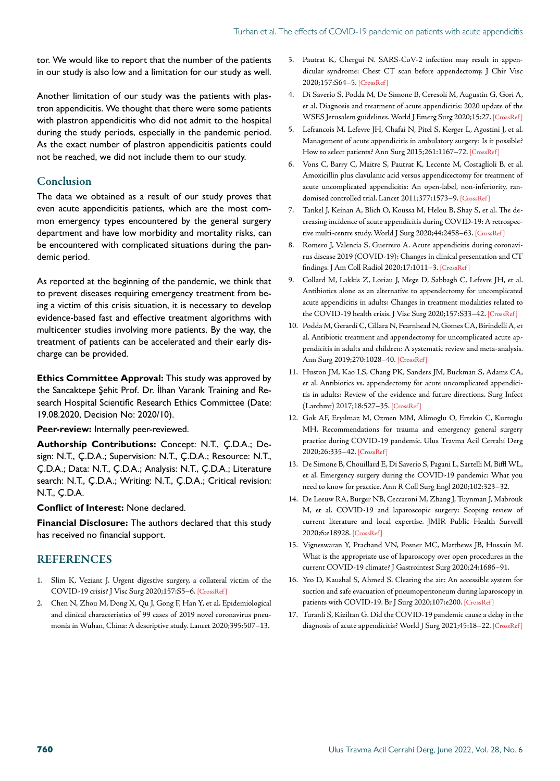tor. We would like to report that the number of the patients in our study is also low and a limitation for our study as well.

Another limitation of our study was the patients with plastron appendicitis. We thought that there were some patients with plastron appendicitis who did not admit to the hospital during the study periods, especially in the pandemic period. As the exact number of plastron appendicitis patients could not be reached, we did not include them to our study.

## **Conclusion**

The data we obtained as a result of our study proves that even acute appendicitis patients, which are the most common emergency types encountered by the general surgery department and have low morbidity and mortality risks, can be encountered with complicated situations during the pandemic period.

As reported at the beginning of the pandemic, we think that to prevent diseases requiring emergency treatment from being a victim of this crisis situation, it is necessary to develop evidence-based fast and effective treatment algorithms with multicenter studies involving more patients. By the way, the treatment of patients can be accelerated and their early discharge can be provided.

**Ethics Committee Approval:** This study was approved by the Sancaktepe Şehit Prof. Dr. İlhan Varank Training and Research Hospital Scientific Research Ethics Committee (Date: 19.08.2020, Decision No: 2020/10).

#### **Peer-review:** Internally peer-reviewed.

**Authorship Contributions:** Concept: N.T., Ç.D.A.; Design: N.T., Ç.D.A.; Supervision: N.T., Ç.D.A.; Resource: N.T., Ç.D.A.; Data: N.T., Ç.D.A.; Analysis: N.T., Ç.D.A.; Literature search: N.T., Ç.D.A.; Writing: N.T., Ç.D.A.; Critical revision: N.T., Ç.D.A.

#### **Conflict of Interest:** None declared.

**Financial Disclosure:** The authors declared that this study has received no financial support.

## REFERENCES

- 1. Slim K, Veziant J. Urgent digestive surgery, a collateral victim of the COVID-19 crisis? J Visc Surg 2020;157:S5–6[. \[CrossRef \]](https://doi.org/10.1016/j.jviscsurg.2020.04.001)
- 2. Chen N, Zhou M, Dong X, Qu J, Gong F, Han Y, et al. Epidemiological and clinical characteristics of 99 cases of 2019 novel coronavirus pneumonia in Wuhan, China: A descriptive study. Lancet [2020;395:507–13.](https://doi.org/10.1016/S0140-6736(20)30211-7)
- 3. Pautrat K, Chergui N. SARS-CoV-2 infection may result in appendicular syndrome: Chest CT scan before appendectomy. J Chir Visc 2020;157:S64–[5. \[CrossRef \]](https://doi.org/10.1016/j.jchirv.2020.04.007)
- 4. Di Saverio S, Podda M, De Simone B, Ceresoli M, Augustin G, Gori A, et al. Diagnosis and treatment of acute appendicitis: 2020 update of the WSES Jerusalem guidelines. World J Emerg Surg 2020;15:2[7. \[CrossRef \]](https://doi.org/10.1186/s13017-020-00306-3)
- 5. Lefrancois M, Lefevre JH, Chafai N, Pitel S, Kerger L, Agostini J, et al. Management of acute appendicitis in ambulatory surgery: Is it possible? How to select patients? Ann Surg 2015;261:1167–72. [\[CrossRef \]](https://doi.org/10.1097/SLA.0000000000000795)
- 6. Vons C, Barry C, Maitre S, Pautrat K, Leconte M, Costaglioli B, et al. Amoxicillin plus clavulanic acid versus appendicectomy for treatment of acute uncomplicated appendicitis: An open-label, non-inferiority, randomised controlled trial. Lancet 2011;377:1573–[9. \[CrossRef \]](https://doi.org/10.1016/S0140-6736(11)60410-8)
- 7. Tankel J, Keinan A, Blich O, Koussa M, Helou B, Shay S, et al. The decreasing incidence of acute appendicitis during COVID-19: A retrospective multi-centre study. World J Surg 2020;44:2458-63. [CrossRef]
- 8. Romero J, Valencia S, Guerrero A. Acute appendicitis during coronavirus disease 2019 (COVID-19): Changes in clinical presentation and CT findings. J Am Coll Radiol 2020;17:1011–[3. \[CrossRef \]](https://doi.org/10.1016/j.jacr.2020.06.002)
- 9. Collard M, Lakkis Z, Loriau J, Mege D, Sabbagh C, Lefevre JH, et al. Antibiotics alone as an alternative to appendectomy for uncomplicated acute appendicitis in adults: Changes in treatment modalities related to the COVID-19 health crisis. J Visc Surg 2020;157:S33-42. [CrossRef]
- 10. Podda M, Gerardi C, Cillara N, Fearnhead N, Gomes CA, Birindelli A, et al. Antibiotic treatment and appendectomy for uncomplicated acute appendicitis in adults and children: A systematic review and meta-analysis. Ann Surg 2019;270:1028–40. [\[CrossRef \]](https://doi.org/10.1097/SLA.0000000000003225)
- 11. Huston JM, Kao LS, Chang PK, Sanders JM, Buckman S, Adams CA, et al. Antibiotics vs. appendectomy for acute uncomplicated appendicitis in adults: Review of the evidence and future directions. Surg Infect (Larchmt) 2017;18:527–35. [\[CrossRef \]](https://doi.org/10.1089/sur.2017.073)
- 12. Gok AF, Eryılmaz M, Ozmen MM, Alimoglu O, Ertekin C, Kurtoglu MH. Recommendations for trauma and emergency general surgery practice during COVID-19 pandemic. Ulus Travma Acil Cerrahi Derg 2020;26:335–4[2. \[CrossRef \]](https://doi.org/10.14744/tjtes.2020.79954)
- 13. De Simone B, Chouillard E, Di Saverio S, Pagani L, Sartelli M, Biffl WL, et al. Emergency surgery during the COVID-19 pandemic: What you need to know for practice. Ann R Coll Surg E[ngl 2020;102:323–32.](https://doi.org/10.1308/rcsann.2020.0097)
- 14. De Leeuw RA, Burger NB, Ceccaroni M, Zhang J, Tuynman J, Mabrouk M, et al. COVID-19 and laparoscopic surgery: Scoping review of current literature and local expertise. JMIR Public Health Surveill 2020;6:e18928[. \[CrossRef \]](https://doi.org/10.2196/18928)
- 15. Vigneswaran Y, Prachand VN, Posner MC, Matthews JB, Hussain M. What is the appropriate use of laparoscopy over open procedures in the current COVID-19 climate? J Gastrointest Surg [2020;24:1686–91.](https://doi.org/10.1007/s11605-020-04592-9)
- 16. Yeo D, Kaushal S, Ahmed S. Clearing the air: An accessible system for suction and safe evacuation of pneumoperitoneum during laparoscopy in patients with COVID-19. Br J Surg 2020;107:e200. [CrossRef]
- 17. Turanli S, Kiziltan G. Did the COVID-19 pandemic cause a delay in the diagnosis of acute appendicitis? World J Surg 2021;45:18-22. [CrossRef]